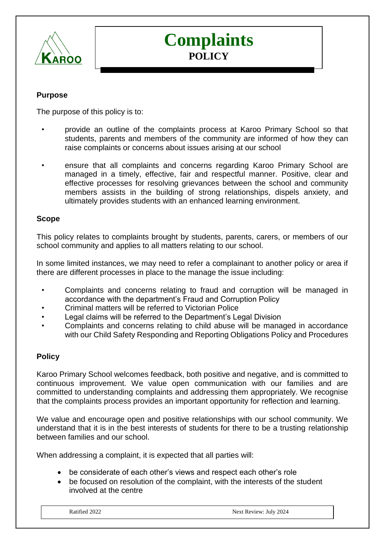

# **Complaints POLICY**

## **Purpose**

The purpose of this policy is to:

- provide an outline of the complaints process at Karoo Primary School so that students, parents and members of the community are informed of how they can raise complaints or concerns about issues arising at our school
- ensure that all complaints and concerns regarding Karoo Primary School are managed in a timely, effective, fair and respectful manner. Positive, clear and effective processes for resolving grievances between the school and community members assists in the building of strong relationships, dispels anxiety, and ultimately provides students with an enhanced learning environment.

#### **Scope**

This policy relates to complaints brought by students, parents, carers, or members of our school community and applies to all matters relating to our school.

In some limited instances, we may need to refer a complainant to another policy or area if there are different processes in place to the manage the issue including:

- Complaints and concerns relating to fraud and corruption will be managed in accordance with the department's Fraud and Corruption Policy
- Criminal matters will be referred to Victorian Police
- Legal claims will be referred to the Department's Legal Division
- Complaints and concerns relating to child abuse will be managed in accordance with our Child Safety Responding and Reporting Obligations Policy and Procedures

#### **Policy**

Karoo Primary School welcomes feedback, both positive and negative, and is committed to continuous improvement. We value open communication with our families and are committed to understanding complaints and addressing them appropriately. We recognise that the complaints process provides an important opportunity for reflection and learning.

We value and encourage open and positive relationships with our school community. We understand that it is in the best interests of students for there to be a trusting relationship between families and our school.

When addressing a complaint, it is expected that all parties will:

- be considerate of each other's views and respect each other's role
- be focused on resolution of the complaint, with the interests of the student involved at the centre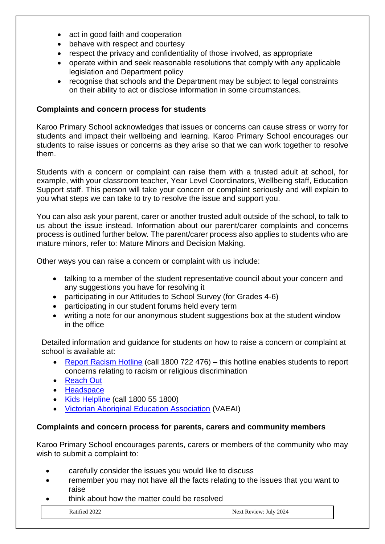- act in good faith and cooperation
- behave with respect and courtesy
- respect the privacy and confidentiality of those involved, as appropriate
- operate within and seek reasonable resolutions that comply with any applicable legislation and Department policy
- recognise that schools and the Department may be subject to legal constraints on their ability to act or disclose information in some circumstances.

#### **Complaints and concern process for students**

Karoo Primary School acknowledges that issues or concerns can cause stress or worry for students and impact their wellbeing and learning. Karoo Primary School encourages our students to raise issues or concerns as they arise so that we can work together to resolve them.

Students with a concern or complaint can raise them with a trusted adult at school, for example, with your classroom teacher, Year Level Coordinators, Wellbeing staff, Education Support staff. This person will take your concern or complaint seriously and will explain to you what steps we can take to try to resolve the issue and support you.

You can also ask your parent, carer or another trusted adult outside of the school, to talk to us about the issue instead. Information about our parent/carer complaints and concerns process is outlined further below. The parent/carer process also applies to students who are mature minors, refer to: Mature Minors and Decision Making.

Other ways you can raise a concern or complaint with us include:

- talking to a member of the student representative council about your concern and any suggestions you have for resolving it
- participating in our Attitudes to School Survey (for Grades 4-6)
- participating in our student forums held every term
- writing a note for our anonymous student suggestions box at the student window in the office

Detailed information and guidance for students on how to raise a concern or complaint at school is available at:

- [Report Racism Hotline](https://www.vic.gov.au/report-racism-or-religious-discrimination-schools) (call 1800 722 476) this hotline enables students to report concerns relating to racism or religious discrimination
- [Reach Out](https://au.reachout.com/?gclid=CjwKCAiAgbiQBhAHEiwAuQ6BktaB5xneGFK3TnOql5c5eZ7af7dDm9ffLZa7N59FEtbtQzVIk8sGWhoC8N0QAvD_BwE)
- [Headspace](https://headspace.org.au/)
- [Kids Helpline](https://kidshelpline.com.au/?gclid=CjwKCAiAgbiQBhAHEiwAuQ6Bkro6UD2EBcRILznFnRhKjfi5I84jJlUa0fyiiYLQ4mHx5sXTStxH8BoCCEIQAvD_BwE) (call 1800 55 1800)
- [Victorian Aboriginal Education Association](https://www.vaeai.org.au/) (VAEAI)

#### **Complaints and concern process for parents, carers and community members**

Karoo Primary School encourages parents, carers or members of the community who may wish to submit a complaint to:

- carefully consider the issues you would like to discuss
- remember you may not have all the facts relating to the issues that you want to raise
- think about how the matter could be resolved

Ratified 2022 Next Review: July 2024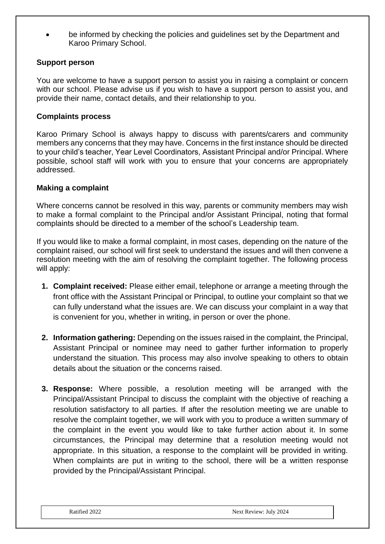• be informed by checking the policies and guidelines set by the Department and Karoo Primary School.

## **Support person**

You are welcome to have a support person to assist you in raising a complaint or concern with our school. Please advise us if you wish to have a support person to assist you, and provide their name, contact details, and their relationship to you.

#### **Complaints process**

Karoo Primary School is always happy to discuss with parents/carers and community members any concerns that they may have. Concerns in the first instance should be directed to your child's teacher, Year Level Coordinators, Assistant Principal and/or Principal. Where possible, school staff will work with you to ensure that your concerns are appropriately addressed.

#### **Making a complaint**

Where concerns cannot be resolved in this way, parents or community members may wish to make a formal complaint to the Principal and/or Assistant Principal, noting that formal complaints should be directed to a member of the school's Leadership team.

If you would like to make a formal complaint, in most cases, depending on the nature of the complaint raised, our school will first seek to understand the issues and will then convene a resolution meeting with the aim of resolving the complaint together. The following process will apply:

- **1. Complaint received:** Please either email, telephone or arrange a meeting through the front office with the Assistant Principal or Principal, to outline your complaint so that we can fully understand what the issues are. We can discuss your complaint in a way that is convenient for you, whether in writing, in person or over the phone.
- **2. Information gathering:** Depending on the issues raised in the complaint, the Principal, Assistant Principal or nominee may need to gather further information to properly understand the situation. This process may also involve speaking to others to obtain details about the situation or the concerns raised.
- **3. Response:** Where possible, a resolution meeting will be arranged with the Principal/Assistant Principal to discuss the complaint with the objective of reaching a resolution satisfactory to all parties. If after the resolution meeting we are unable to resolve the complaint together, we will work with you to produce a written summary of the complaint in the event you would like to take further action about it. In some circumstances, the Principal may determine that a resolution meeting would not appropriate. In this situation, a response to the complaint will be provided in writing. When complaints are put in writing to the school, there will be a written response provided by the Principal/Assistant Principal.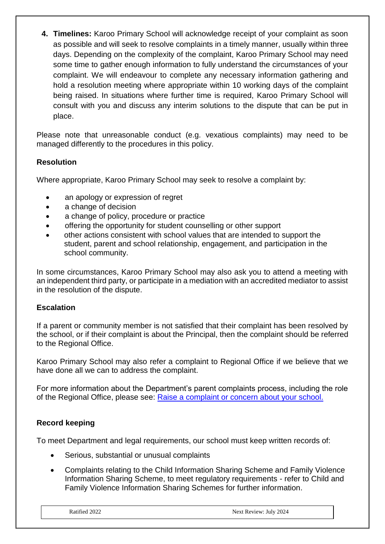**4. Timelines:** Karoo Primary School will acknowledge receipt of your complaint as soon as possible and will seek to resolve complaints in a timely manner, usually within three days. Depending on the complexity of the complaint, Karoo Primary School may need some time to gather enough information to fully understand the circumstances of your complaint. We will endeavour to complete any necessary information gathering and hold a resolution meeting where appropriate within 10 working days of the complaint being raised. In situations where further time is required, Karoo Primary School will consult with you and discuss any interim solutions to the dispute that can be put in place.

Please note that unreasonable conduct (e.g. vexatious complaints) may need to be managed differently to the procedures in this policy.

# **Resolution**

Where appropriate, Karoo Primary School may seek to resolve a complaint by:

- an apology or expression of regret
- a change of decision
- a change of policy, procedure or practice
- offering the opportunity for student counselling or other support
- other actions consistent with school values that are intended to support the student, parent and school relationship, engagement, and participation in the school community.

In some circumstances, Karoo Primary School may also ask you to attend a meeting with an independent third party, or participate in a mediation with an accredited mediator to assist in the resolution of the dispute.

# **Escalation**

If a parent or community member is not satisfied that their complaint has been resolved by the school, or if their complaint is about the Principal, then the complaint should be referred to the Regional Office.

Karoo Primary School may also refer a complaint to Regional Office if we believe that we have done all we can to address the complaint.

For more information about the Department's parent complaints process, including the role of the Regional Office, please see: [Raise a complaint or concern about your school.](https://www.vic.gov.au/raise-complaint-or-concern-about-your-school#speaking-to-your-school)

# **Record keeping**

To meet Department and legal requirements, our school must keep written records of:

- Serious, substantial or unusual complaints
- Complaints relating to the Child Information Sharing Scheme and Family Violence Information Sharing Scheme, to meet regulatory requirements - refer to Child and Family Violence Information Sharing Schemes for further information.